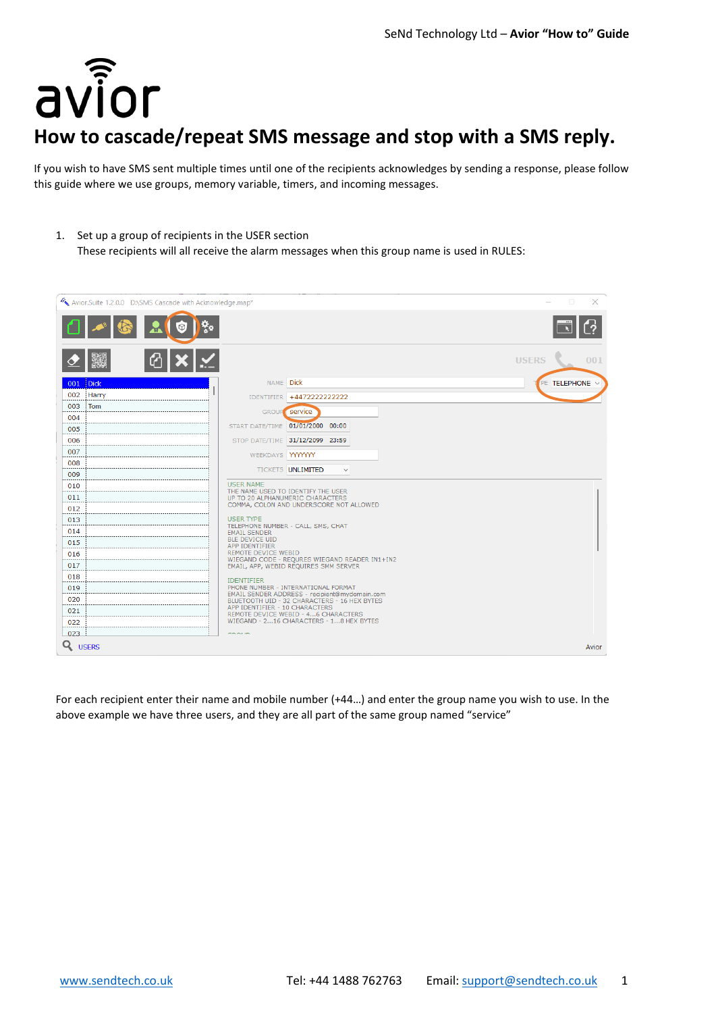

# **How to cascade/repeat SMS message and stop with a SMS reply.**

If you wish to have SMS sent multiple times until one of the recipients acknowledges by sending a response, please follow this guide where we use groups, memory variable, timers, and incoming messages.

1. Set up a group of recipients in the USER section

These recipients will all receive the alarm messages when this group name is used in RULES:



For each recipient enter their name and mobile number (+44…) and enter the group name you wish to use. In the above example we have three users, and they are all part of the same group named "service"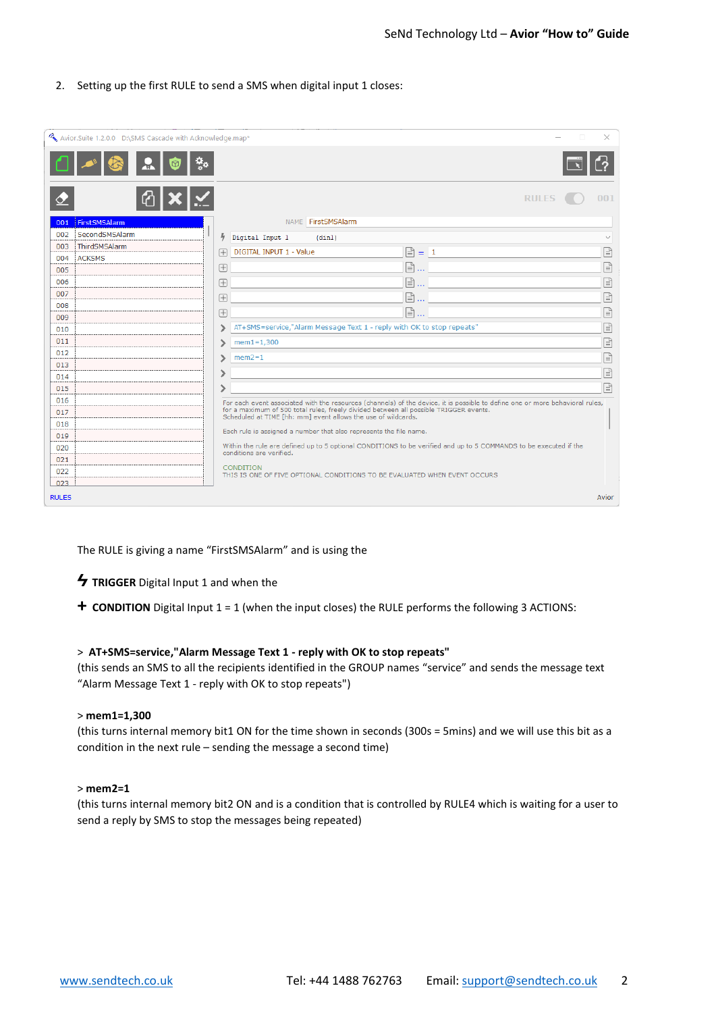## 2. Setting up the first RULE to send a SMS when digital input 1 closes:

|              | Avior.Suite 1.2.0.0 D:\SMS Cascade with Acknowledge.map* |                                                                                               |                                                                                                                                                        |   |           |                 | ×     |  |  |
|--------------|----------------------------------------------------------|-----------------------------------------------------------------------------------------------|--------------------------------------------------------------------------------------------------------------------------------------------------------|---|-----------|-----------------|-------|--|--|
|              |                                                          |                                                                                               |                                                                                                                                                        |   |           |                 |       |  |  |
|              |                                                          |                                                                                               |                                                                                                                                                        |   |           | <b>RULES</b>    | 001   |  |  |
| 001          | FirstSMSAlarm                                            |                                                                                               | NAME FirstSMSAlarm                                                                                                                                     |   |           |                 |       |  |  |
| 002          | SecondSMSAlarm                                           | 4                                                                                             | Digital Input 1<br>(din1)                                                                                                                              |   |           |                 |       |  |  |
| 003          | ThirdSMSAlarm                                            | 田                                                                                             | DIGITAL INPUT 1 - Value                                                                                                                                |   |           | $\boxed{=}$ = 1 | F     |  |  |
| 004          | <b>ACKSMS</b>                                            |                                                                                               |                                                                                                                                                        | G |           |                 | F     |  |  |
| 005          |                                                          | 田                                                                                             |                                                                                                                                                        |   | $\ddotsc$ |                 |       |  |  |
| 006          |                                                          | 田                                                                                             |                                                                                                                                                        | 旧 | $\ddotsc$ |                 | F     |  |  |
| 007          |                                                          | 田                                                                                             |                                                                                                                                                        | ß | $\ddotsc$ |                 | F     |  |  |
| 008          |                                                          | 田                                                                                             |                                                                                                                                                        |   | §…        |                 | F     |  |  |
| 009<br>010   |                                                          | ↘                                                                                             | AT+SMS=service,"Alarm Message Text 1 - reply with OK to stop repeats"                                                                                  |   |           |                 | F     |  |  |
| 011          |                                                          | ↘                                                                                             | $mem1=1,300$                                                                                                                                           |   |           |                 |       |  |  |
| 012          |                                                          |                                                                                               |                                                                                                                                                        |   |           |                 | F     |  |  |
| 013          |                                                          | ↘                                                                                             | $mem2=1$                                                                                                                                               |   |           |                 | E     |  |  |
| 014          |                                                          |                                                                                               |                                                                                                                                                        |   |           |                 | F     |  |  |
| 015          |                                                          |                                                                                               |                                                                                                                                                        |   |           |                 | l≣    |  |  |
| 016          |                                                          |                                                                                               | For each event associated with the resources (channels) of the device, it is possible to define one or more behavioral rules,                          |   |           |                 |       |  |  |
| 017          |                                                          |                                                                                               | for a maximum of 500 total rules, freely divided between all possible TRIGGER events.<br>Scheduled at TIME [hh: mm] event allows the use of wildcards. |   |           |                 |       |  |  |
| 018          |                                                          |                                                                                               |                                                                                                                                                        |   |           |                 |       |  |  |
| 019          |                                                          |                                                                                               | Each rule is assigned a number that also represents the file name.                                                                                     |   |           |                 |       |  |  |
| 020          |                                                          |                                                                                               | Within the rule are defined up to 5 optional CONDITIONS to be verified and up to 5 COMMANDS to be executed if the<br>conditions are verified.          |   |           |                 |       |  |  |
| 021          |                                                          |                                                                                               |                                                                                                                                                        |   |           |                 |       |  |  |
| 022          |                                                          | <b>CONDITION</b><br>THIS IS ONE OF FIVE OPTIONAL CONDITIONS TO BE EVALUATED WHEN EVENT OCCURS |                                                                                                                                                        |   |           |                 |       |  |  |
| 023          |                                                          |                                                                                               |                                                                                                                                                        |   |           |                 |       |  |  |
| <b>RULES</b> |                                                          |                                                                                               |                                                                                                                                                        |   |           |                 | Avior |  |  |

The RULE is giving a name "FirstSMSAlarm" and is using the

- **4 TRIGGER** Digital Input 1 and when the
- **+ CONDITION** Digital Input 1 = 1 (when the input closes) the RULE performs the following 3 ACTIONS:

#### > **AT+SMS=service,"Alarm Message Text 1 - reply with OK to stop repeats"**

(this sends an SMS to all the recipients identified in the GROUP names "service" and sends the message text "Alarm Message Text 1 - reply with OK to stop repeats")

#### > **mem1=1,300**

(this turns internal memory bit1 ON for the time shown in seconds (300s = 5mins) and we will use this bit as a condition in the next rule – sending the message a second time)

#### > **mem2=1**

(this turns internal memory bit2 ON and is a condition that is controlled by RULE4 which is waiting for a user to send a reply by SMS to stop the messages being repeated)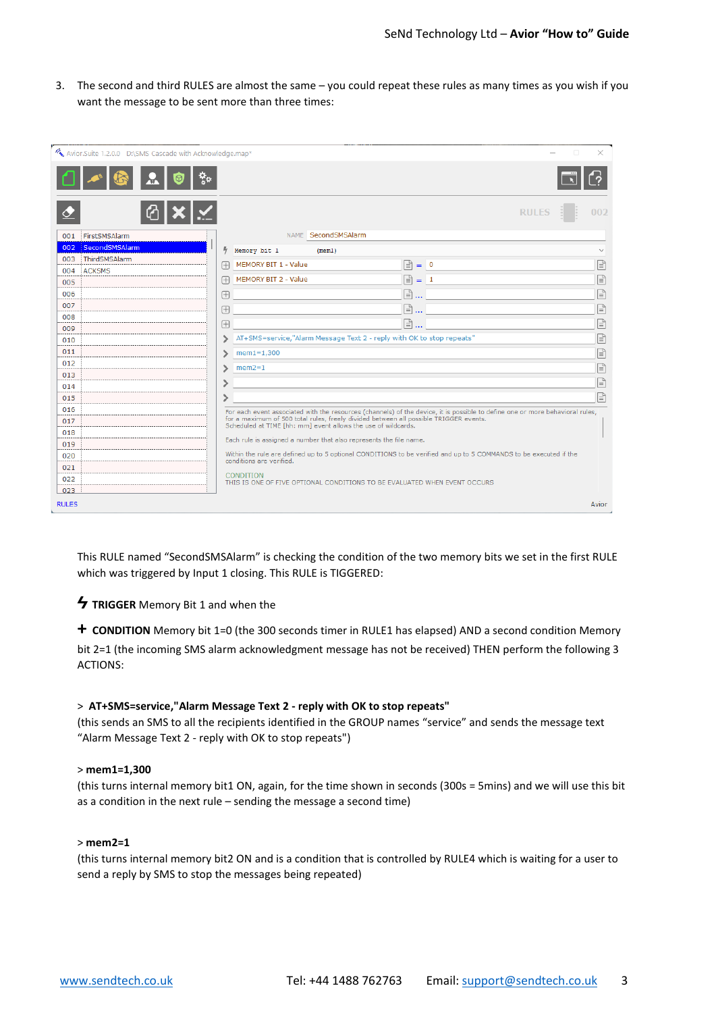3. The second and third RULES are almost the same – you could repeat these rules as many times as you wish if you want the message to be sent more than three times:

|              | Avior.Suite 1.2.0.0 D:\SMS Cascade with Acknowledge.map* |                                                                                                                                               |                                                                                                                                                        |   |                |       |              |  | ×                 |
|--------------|----------------------------------------------------------|-----------------------------------------------------------------------------------------------------------------------------------------------|--------------------------------------------------------------------------------------------------------------------------------------------------------|---|----------------|-------|--------------|--|-------------------|
|              |                                                          |                                                                                                                                               |                                                                                                                                                        |   |                |       |              |  |                   |
|              |                                                          |                                                                                                                                               |                                                                                                                                                        |   |                |       | <b>RULES</b> |  | 002               |
| 001          | FirstSMSAlarm                                            |                                                                                                                                               | NAME SecondSMSAlarm                                                                                                                                    |   |                |       |              |  |                   |
| 002          | SecondSMSAlarm                                           | 4                                                                                                                                             | Memory bit 1<br>(mem1)                                                                                                                                 |   |                |       |              |  | $\ddot{}$         |
| 003          | ThirdSMSAlarm                                            | 田                                                                                                                                             | MEMORY BIT 1 - Value                                                                                                                                   | ß |                | $= 0$ |              |  | f                 |
| 004          | <b>ACKSMS</b>                                            |                                                                                                                                               | MEMORY BIT 2 - Value                                                                                                                                   | G |                |       |              |  |                   |
| 005          |                                                          | 田                                                                                                                                             |                                                                                                                                                        |   |                | $=$ 1 |              |  | G                 |
| 006          |                                                          | $\boxplus$                                                                                                                                    |                                                                                                                                                        |   | [≣ो …          |       |              |  | $\mathbb{E}$      |
| 007          |                                                          | 田                                                                                                                                             |                                                                                                                                                        |   | Ռ<br>$\ddotsc$ |       |              |  | F                 |
| 008          |                                                          | 田                                                                                                                                             |                                                                                                                                                        |   | F)             |       |              |  | F                 |
| 009<br>010   |                                                          |                                                                                                                                               | AT+SMS=service,"Alarm Message Text 2 - reply with OK to stop repeats"                                                                                  |   |                |       |              |  | $\boxed{\exists}$ |
| 011          |                                                          |                                                                                                                                               | $mem1 = 1,300$                                                                                                                                         |   |                |       |              |  | F                 |
| 012          |                                                          | ⋗                                                                                                                                             |                                                                                                                                                        |   |                |       |              |  |                   |
| 013          |                                                          | ↘                                                                                                                                             | $mem2=1$                                                                                                                                               |   |                |       |              |  | $\mathbb{E}$      |
| 014          |                                                          |                                                                                                                                               |                                                                                                                                                        |   |                |       |              |  | F                 |
| 015          |                                                          | ⋋                                                                                                                                             |                                                                                                                                                        |   |                |       |              |  | 日                 |
| 016          |                                                          | For each event associated with the resources (channels) of the device, it is possible to define one or more behavioral rules,                 |                                                                                                                                                        |   |                |       |              |  |                   |
| 017          |                                                          |                                                                                                                                               | for a maximum of 500 total rules, freely divided between all possible TRIGGER events.<br>Scheduled at TIME [hh: mm] event allows the use of wildcards. |   |                |       |              |  |                   |
| 018          |                                                          |                                                                                                                                               |                                                                                                                                                        |   |                |       |              |  |                   |
| 019          |                                                          | Each rule is assigned a number that also represents the file name.                                                                            |                                                                                                                                                        |   |                |       |              |  |                   |
| 020          |                                                          | Within the rule are defined up to 5 optional CONDITIONS to be verified and up to 5 COMMANDS to be executed if the<br>conditions are verified. |                                                                                                                                                        |   |                |       |              |  |                   |
| 021          |                                                          |                                                                                                                                               |                                                                                                                                                        |   |                |       |              |  |                   |
| 022          |                                                          | <b>CONDITION</b><br>THIS IS ONE OF FIVE OPTIONAL CONDITIONS TO BE EVALUATED WHEN EVENT OCCURS                                                 |                                                                                                                                                        |   |                |       |              |  |                   |
| 023          |                                                          |                                                                                                                                               |                                                                                                                                                        |   |                |       |              |  |                   |
| <b>RULES</b> |                                                          |                                                                                                                                               |                                                                                                                                                        |   |                |       |              |  | Avior             |

This RULE named "SecondSMSAlarm" is checking the condition of the two memory bits we set in the first RULE which was triggered by Input 1 closing. This RULE is TIGGERED:

**Ϟ TRIGGER** Memory Bit 1 and when the

**+ CONDITION** Memory bit 1=0 (the 300 seconds timer in RULE1 has elapsed) AND a second condition Memory bit 2=1 (the incoming SMS alarm acknowledgment message has not be received) THEN perform the following 3 ACTIONS:

## > **AT+SMS=service,"Alarm Message Text 2 - reply with OK to stop repeats"**

(this sends an SMS to all the recipients identified in the GROUP names "service" and sends the message text "Alarm Message Text 2 - reply with OK to stop repeats")

## > **mem1=1,300**

(this turns internal memory bit1 ON, again, for the time shown in seconds (300s = 5mins) and we will use this bit as a condition in the next rule – sending the message a second time)

## > **mem2=1**

(this turns internal memory bit2 ON and is a condition that is controlled by RULE4 which is waiting for a user to send a reply by SMS to stop the messages being repeated)